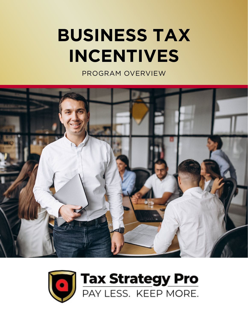# **BUSINESS TAX INCENTIVES**

PROGRAM OVERVIEW



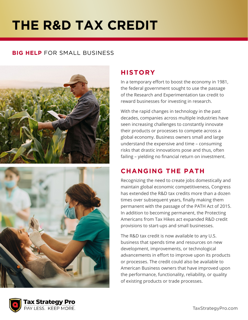# **THE R&D TAX CREDIT**

#### **BIG HELP** FOR SMALL BUSINESS





#### **HISTORY**

In a temporary effort to boost the economy in 1981, the federal government sought to use the passage of the Research and Experimentation tax credit to reward businesses for investing in research.

With the rapid changes in technology in the past decades, companies across multiple industries have seen increasing challenges to constantly innovate their products or processes to compete across a global economy. Business owners small and large understand the expensive and time – consuming risks that drastic innovations pose and thus, often failing – yielding no financial return on investment.

### **CHANGING THE PATH**

Recognizing the need to create jobs domestically and maintain global economic competitiveness, Congress has extended the R&D tax credits more than a dozen times over subsequent years, finally making them permanent with the passage of the PATH Act of 2015. In addition to becoming permanent, the Protecting Americans from Tax Hikes act expanded R&D credit provisions to start-ups and small businesses.

The R&D tax credit is now available to any U.S. business that spends time and resources on new development, improvements, or technological advancements in effort to improve upon its products or processes. The credit could also be available to American Business owners that have improved upon the performance, functionality, reliability, or quality of existing products or trade processes.

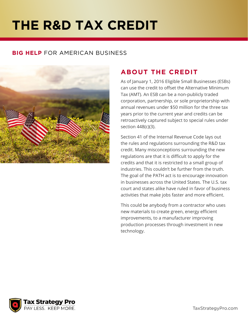# **THE R&D TAX CREDIT**

#### **BIG HELP** FOR AMERICAN BUSINESS



### **ABOUT THE CREDIT**

As of January 1, 2016 Eligible Small Businesses (ESBs) can use the credit to offset the Alternative Minimum Tax (AMT). An ESB can be a non-publicly traded corporation, partnership, or sole proprietorship with annual revenues under \$50 million for the three tax years prior to the current year and credits can be retroactively captured subject to special rules under section 448(c)(3).

Section 41 of the Internal Revenue Code lays out the rules and regulations surrounding the R&D tax credit. Many misconceptions surrounding the new regulations are that it is difficult to apply for the credits and that it is restricted to a small group of industries. This couldn't be further from the truth. The goal of the PATH act is to encourage innovation in businesses across the United States. The U.S. tax court and states alike have ruled in favor of business activities that make jobs faster and more efficient.

This could be anybody from a contractor who uses new materials to create green, energy efficient improvements, to a manufacturer improving production processes through investment in new technology.

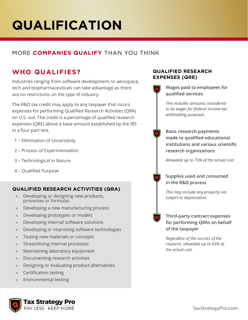# **QUALIFICATION**

#### MORE **COMPANIES QUALIFY** THAN YOU THINK

### **WHO QUALIFIES?**

Industries ranging from software development, to aerospace, tech and biopharmaceuticals can take advantage as there are no restrictions on the type of industry.

The R&D tax credit may apply to any taxpayer that incurs expenses for performing Qualified Research Activities (QRA) on U.S. soil. The credit is a percentage of qualified research expenses (QRE) above a base amount established by the IRS in a four-part test.

- 1 Elimination of Uncertainty
- 2 Process of Experimentation
- 3 Technological in Nature
- 4 Qualified Purpose

#### **QUALIFIED RESEARCH ACTIVITIES (QRA)**

- » Developing or designing new products, processes or formulas
- » Developing a new manufacturing process
- » Developing prototypes or models
- » Developing internal software solutions
- » Developing or improving software technologies
- » Testing new materials or concepts
- » Streamlining internal processes
- » Maintaining laboratory equipment
- » Documenting research activities
- » Designing or evaluating product alternatives
- » Certification testing
- » Environmental testing

#### **QUALIFIED RESEARCH EXPENSES (QRE)**

**Wages paid to employees for qualified services**

*This includes amounts considered to be wages for federal income tax withholding purposes.*

**Basic research payments made to qualified educational institutions and various scientific research organizations**

*Allowable up to 75% of the actual cost.*

#### **Supplies used and consumed in the R&D process**

*This may include any property not subject to depreciation.*

**Third-party contract expenses for performing QRAs on behalf of the taxpayer**

*Regardless of the success of the research, allowable up to 65% of the actual cost.*